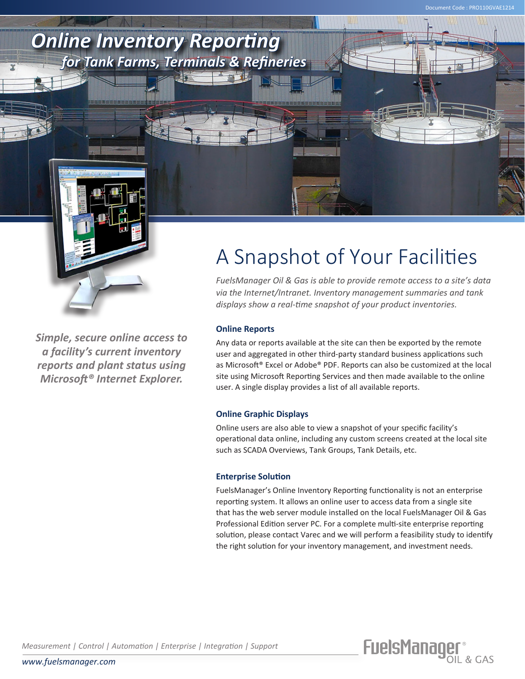

*Simple, secure online access to a facility's current inventory reports and plant status using Microsoft® Internet Explorer.*

## A Snapshot of Your Facilities

Document Code : PRO110GVAE1214

*FuelsManager Oil & Gas is able to provide remote access to a site's data via the Internet/Intranet. Inventory management summaries and tank displays show a real-time snapshot of your product inventories.*

## **Online Reports**

Any data or reports available at the site can then be exported by the remote user and aggregated in other third-party standard business applications such as Microsoft® Excel or Adobe® PDF. Reports can also be customized at the local site using Microsoft Reporting Services and then made available to the online user. A single display provides a list of all available reports.

## **Online Graphic Displays**

Online users are also able to view a snapshot of your specific facility's operational data online, including any custom screens created at the local site such as SCADA Overviews, Tank Groups, Tank Details, etc.

## **Enterprise Solution**

FuelsManager's Online Inventory Reporting functionality is not an enterprise reporting system. It allows an online user to access data from a single site that has the web server module installed on the local FuelsManager Oil & Gas Professional Edition server PC. For a complete multi-site enterprise reporting solution, please contact Varec and we will perform a feasibility study to identify the right solution for your inventory management, and investment needs.

FuelsManager®